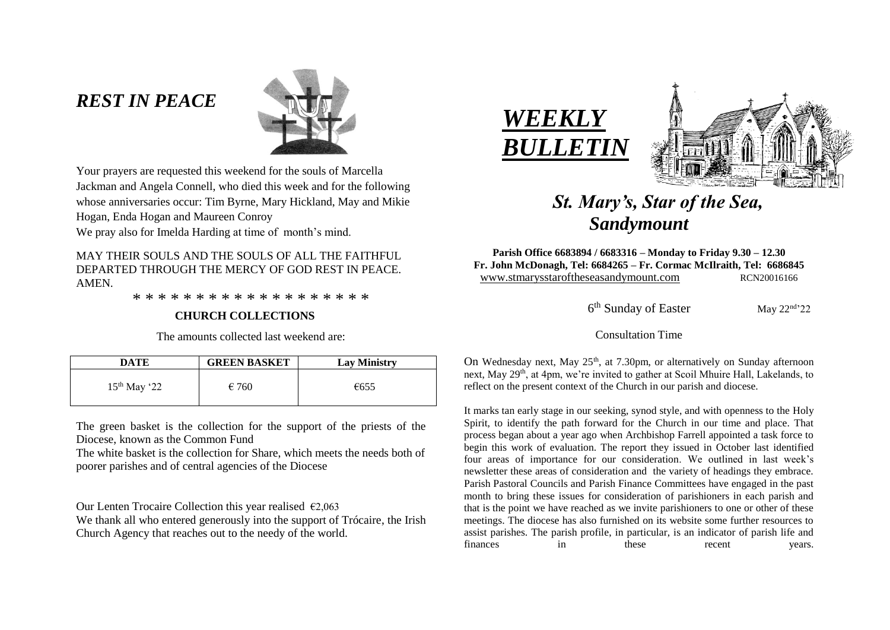# *REST IN PEACE*



Your prayers are requested this weekend for the souls of Marcella Jackman and Angela Connell, who died this week and for the following whose anniversaries occur: Tim Byrne, Mary Hickland, May and Mikie Hogan, Enda Hogan and Maureen Conroy

We pray also for Imelda Harding at time of month's mind.

MAY THEIR SOULS AND THE SOULS OF ALL THE FAITHFUL DEPARTED THROUGH THE MERCY OF GOD REST IN PEACE. AMEN.

\* \* \* \* \* \* \* \* \* \* \* \* \* \* \* \* \* \* \*

#### **CHURCH COLLECTIONS**

The amounts collected last weekend are:

| DATE           | <b>GREEN BASKET</b> | <b>Lay Ministry</b> |
|----------------|---------------------|---------------------|
| $15th$ May '22 | $\epsilon$ 760      | €655                |

The green basket is the collection for the support of the priests of the Diocese, known as the Common Fund

The white basket is the collection for Share, which meets the needs both of poorer parishes and of central agencies of the Diocese

Our Lenten Trocaire Collection this year realised  $\epsilon$ 2.063

We thank all who entered generously into the support of Trócaire, the Irish Church Agency that reaches out to the needy of the world.





# *St. Mary's, Star of the Sea, Sandymount*

**Parish Office 6683894 / 6683316 – Monday to Friday 9.30 – 12.30 Fr. John McDonagh, Tel: 6684265 – Fr. Cormac McIlraith, Tel: 6686845** www.stmarysstaroftheseasandymount.com RCN20016166

 6  $6<sup>th</sup>$  Sunday of Easter May  $22<sup>nd</sup>22$ 

#### Consultation Time

On Wednesday next, May 25<sup>th</sup>, at 7.30pm, or alternatively on Sunday afternoon next, May 29<sup>th</sup>, at 4pm, we're invited to gather at Scoil Mhuire Hall, Lakelands, to reflect on the present context of the Church in our parish and diocese.

It marks tan early stage in our seeking, synod style, and with openness to the Holy Spirit, to identify the path forward for the Church in our time and place. That process began about a year ago when Archbishop Farrell appointed a task force to begin this work of evaluation. The report they issued in October last identified four areas of importance for our consideration. We outlined in last week's newsletter these areas of consideration and the variety of headings they embrace. Parish Pastoral Councils and Parish Finance Committees have engaged in the past month to bring these issues for consideration of parishioners in each parish and that is the point we have reached as we invite parishioners to one or other of these meetings. The diocese has also furnished on its website some further resources to assist parishes. The parish profile, in particular, is an indicator of parish life and finances in these recent years.